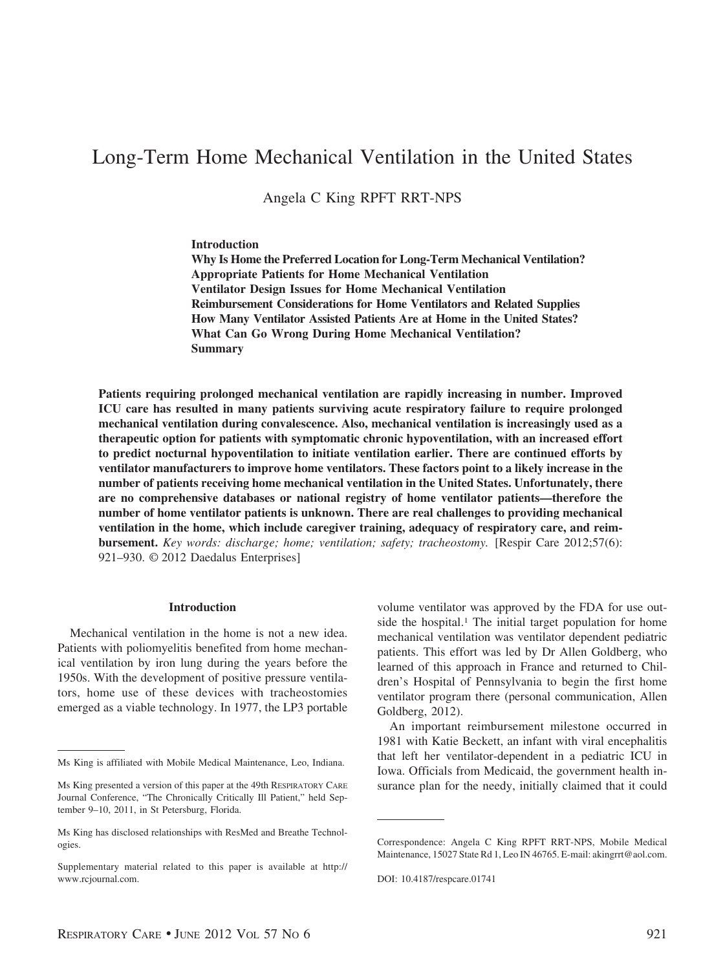# Long-Term Home Mechanical Ventilation in the United States

Angela C King RPFT RRT-NPS

## **Introduction**

**Why Is Home the Preferred Location for Long-Term Mechanical Ventilation? Appropriate Patients for Home Mechanical Ventilation Ventilator Design Issues for Home Mechanical Ventilation Reimbursement Considerations for Home Ventilators and Related Supplies How Many Ventilator Assisted Patients Are at Home in the United States? What Can Go Wrong During Home Mechanical Ventilation? Summary**

**Patients requiring prolonged mechanical ventilation are rapidly increasing in number. Improved ICU care has resulted in many patients surviving acute respiratory failure to require prolonged mechanical ventilation during convalescence. Also, mechanical ventilation is increasingly used as a therapeutic option for patients with symptomatic chronic hypoventilation, with an increased effort to predict nocturnal hypoventilation to initiate ventilation earlier. There are continued efforts by ventilator manufacturers to improve home ventilators. These factors point to a likely increase in the number of patients receiving home mechanical ventilation in the United States. Unfortunately, there are no comprehensive databases or national registry of home ventilator patients—therefore the number of home ventilator patients is unknown. There are real challenges to providing mechanical ventilation in the home, which include caregiver training, adequacy of respiratory care, and reimbursement.** *Key words: discharge; home; ventilation; safety; tracheostomy.* [Respir Care 2012;57(6): 921–930. © 2012 Daedalus Enterprises]

#### **Introduction**

Mechanical ventilation in the home is not a new idea. Patients with poliomyelitis benefited from home mechanical ventilation by iron lung during the years before the 1950s. With the development of positive pressure ventilators, home use of these devices with tracheostomies emerged as a viable technology. In 1977, the LP3 portable

volume ventilator was approved by the FDA for use outside the hospital.<sup>1</sup> The initial target population for home mechanical ventilation was ventilator dependent pediatric patients. This effort was led by Dr Allen Goldberg, who learned of this approach in France and returned to Children's Hospital of Pennsylvania to begin the first home ventilator program there (personal communication, Allen Goldberg, 2012).

An important reimbursement milestone occurred in 1981 with Katie Beckett, an infant with viral encephalitis that left her ventilator-dependent in a pediatric ICU in Iowa. Officials from Medicaid, the government health insurance plan for the needy, initially claimed that it could

Ms King is affiliated with Mobile Medical Maintenance, Leo, Indiana.

Ms King presented a version of this paper at the 49th RESPIRATORY CARE Journal Conference, "The Chronically Critically Ill Patient," held September 9–10, 2011, in St Petersburg, Florida.

Ms King has disclosed relationships with ResMed and Breathe Technologies.

Supplementary material related to this paper is available at http:// www.rcjournal.com.

Correspondence: Angela C King RPFT RRT-NPS, Mobile Medical Maintenance, 15027 State Rd 1, Leo IN 46765. E-mail: akingrrt@aol.com.

DOI: 10.4187/respcare.01741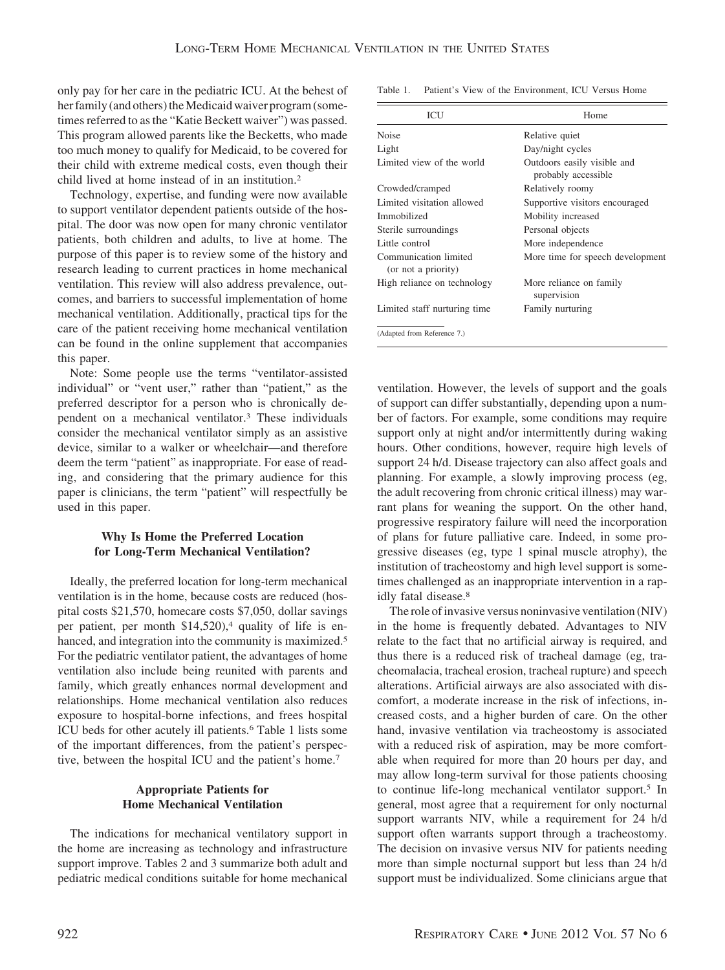only pay for her care in the pediatric ICU. At the behest of her family (and others) the Medicaid waiver program (sometimes referred to as the "Katie Beckett waiver") was passed. This program allowed parents like the Becketts, who made too much money to qualify for Medicaid, to be covered for their child with extreme medical costs, even though their child lived at home instead of in an institution.2

Technology, expertise, and funding were now available to support ventilator dependent patients outside of the hospital. The door was now open for many chronic ventilator patients, both children and adults, to live at home. The purpose of this paper is to review some of the history and research leading to current practices in home mechanical ventilation. This review will also address prevalence, outcomes, and barriers to successful implementation of home mechanical ventilation. Additionally, practical tips for the care of the patient receiving home mechanical ventilation can be found in the online supplement that accompanies this paper.

Note: Some people use the terms "ventilator-assisted individual" or "vent user," rather than "patient," as the preferred descriptor for a person who is chronically dependent on a mechanical ventilator.3 These individuals consider the mechanical ventilator simply as an assistive device, similar to a walker or wheelchair—and therefore deem the term "patient" as inappropriate. For ease of reading, and considering that the primary audience for this paper is clinicians, the term "patient" will respectfully be used in this paper.

## **Why Is Home the Preferred Location for Long-Term Mechanical Ventilation?**

Ideally, the preferred location for long-term mechanical ventilation is in the home, because costs are reduced (hospital costs \$21,570, homecare costs \$7,050, dollar savings per patient, per month  $$14,520$ ,<sup>4</sup> quality of life is enhanced, and integration into the community is maximized.<sup>5</sup> For the pediatric ventilator patient, the advantages of home ventilation also include being reunited with parents and family, which greatly enhances normal development and relationships. Home mechanical ventilation also reduces exposure to hospital-borne infections, and frees hospital ICU beds for other acutely ill patients.6 Table 1 lists some of the important differences, from the patient's perspective, between the hospital ICU and the patient's home.7

## **Appropriate Patients for Home Mechanical Ventilation**

The indications for mechanical ventilatory support in the home are increasing as technology and infrastructure support improve. Tables 2 and 3 summarize both adult and pediatric medical conditions suitable for home mechanical

Table 1. Patient's View of the Environment, ICU Versus Home

| ICU                                          | Home                                               |  |  |  |
|----------------------------------------------|----------------------------------------------------|--|--|--|
| Noise                                        | Relative quiet                                     |  |  |  |
| Light                                        | Day/night cycles                                   |  |  |  |
| Limited view of the world                    | Outdoors easily visible and<br>probably accessible |  |  |  |
| Crowded/cramped                              | Relatively roomy                                   |  |  |  |
| Limited visitation allowed                   | Supportive visitors encouraged                     |  |  |  |
| Immobilized                                  | Mobility increased                                 |  |  |  |
| Sterile surroundings                         | Personal objects                                   |  |  |  |
| Little control                               | More independence                                  |  |  |  |
| Communication limited<br>(or not a priority) | More time for speech development                   |  |  |  |
| High reliance on technology                  | More reliance on family<br>supervision             |  |  |  |
| Limited staff nurturing time                 | Family nurturing                                   |  |  |  |
| (Adapted from Reference 7.)                  |                                                    |  |  |  |

ventilation. However, the levels of support and the goals of support can differ substantially, depending upon a number of factors. For example, some conditions may require support only at night and/or intermittently during waking hours. Other conditions, however, require high levels of support 24 h/d. Disease trajectory can also affect goals and planning. For example, a slowly improving process (eg, the adult recovering from chronic critical illness) may warrant plans for weaning the support. On the other hand, progressive respiratory failure will need the incorporation of plans for future palliative care. Indeed, in some progressive diseases (eg, type 1 spinal muscle atrophy), the institution of tracheostomy and high level support is sometimes challenged as an inappropriate intervention in a rapidly fatal disease.<sup>8</sup>

The role of invasive versus noninvasive ventilation (NIV) in the home is frequently debated. Advantages to NIV relate to the fact that no artificial airway is required, and thus there is a reduced risk of tracheal damage (eg, tracheomalacia, tracheal erosion, tracheal rupture) and speech alterations. Artificial airways are also associated with discomfort, a moderate increase in the risk of infections, increased costs, and a higher burden of care. On the other hand, invasive ventilation via tracheostomy is associated with a reduced risk of aspiration, may be more comfortable when required for more than 20 hours per day, and may allow long-term survival for those patients choosing to continue life-long mechanical ventilator support.5 In general, most agree that a requirement for only nocturnal support warrants NIV, while a requirement for 24 h/d support often warrants support through a tracheostomy. The decision on invasive versus NIV for patients needing more than simple nocturnal support but less than 24 h/d support must be individualized. Some clinicians argue that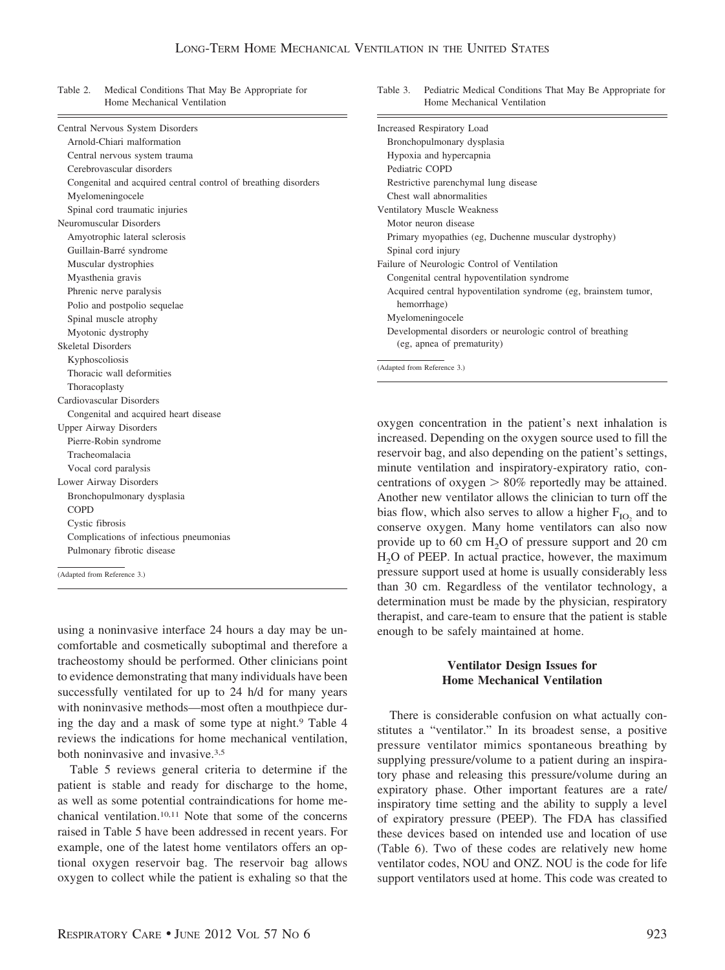| Table 2. | Medical Conditions That May Be Appropriate for |
|----------|------------------------------------------------|
|          | Home Mechanical Ventilation                    |

| Central Nervous System Disorders                               |
|----------------------------------------------------------------|
| Arnold-Chiari malformation                                     |
| Central nervous system trauma                                  |
| Cerebrovascular disorders                                      |
| Congenital and acquired central control of breathing disorders |
| Myelomeningocele                                               |
| Spinal cord traumatic injuries                                 |
| Neuromuscular Disorders                                        |
| Amyotrophic lateral sclerosis                                  |
| Guillain-Barré syndrome                                        |
| Muscular dystrophies                                           |
| Myasthenia gravis                                              |
| Phrenic nerve paralysis                                        |
| Polio and postpolio sequelae                                   |
| Spinal muscle atrophy                                          |
| Myotonic dystrophy                                             |
| <b>Skeletal Disorders</b>                                      |
| Kyphoscoliosis                                                 |
| Thoracic wall deformities                                      |
| Thoracoplasty                                                  |
| Cardiovascular Disorders                                       |
| Congenital and acquired heart disease                          |
| <b>Upper Airway Disorders</b>                                  |
| Pierre-Robin syndrome                                          |
| Tracheomalacia                                                 |
| Vocal cord paralysis                                           |
| Lower Airway Disorders                                         |
| Bronchopulmonary dysplasia                                     |
| <b>COPD</b>                                                    |
| Cystic fibrosis                                                |
| Complications of infectious pneumonias                         |
| Pulmonary fibrotic disease                                     |
|                                                                |

(Adapted from Reference 3.)

using a noninvasive interface 24 hours a day may be uncomfortable and cosmetically suboptimal and therefore a tracheostomy should be performed. Other clinicians point to evidence demonstrating that many individuals have been successfully ventilated for up to 24 h/d for many years with noninvasive methods—most often a mouthpiece during the day and a mask of some type at night.9 Table 4 reviews the indications for home mechanical ventilation, both noninvasive and invasive.3,5

Table 5 reviews general criteria to determine if the patient is stable and ready for discharge to the home, as well as some potential contraindications for home mechanical ventilation.10,11 Note that some of the concerns raised in Table 5 have been addressed in recent years. For example, one of the latest home ventilators offers an optional oxygen reservoir bag. The reservoir bag allows oxygen to collect while the patient is exhaling so that the

| Table 3. | Pediatric Medical Conditions That May Be Appropriate for |
|----------|----------------------------------------------------------|
|          | Home Mechanical Ventilation                              |

| Increased Respiratory Load                                                               |
|------------------------------------------------------------------------------------------|
| Bronchopulmonary dysplasia                                                               |
| Hypoxia and hypercapnia                                                                  |
| Pediatric COPD                                                                           |
| Restrictive parenchymal lung disease                                                     |
| Chest wall abnormalities                                                                 |
| Ventilatory Muscle Weakness                                                              |
| Motor neuron disease                                                                     |
| Primary myopathies (eg, Duchenne muscular dystrophy)                                     |
| Spinal cord injury                                                                       |
| Failure of Neurologic Control of Ventilation                                             |
| Congenital central hypoventilation syndrome                                              |
| Acquired central hypoventilation syndrome (eg, brainstem tumor,<br>hemorrhage)           |
| Myelomeningocele                                                                         |
| Developmental disorders or neurologic control of breathing<br>(eg, apnea of prematurity) |
|                                                                                          |

(Adapted from Reference 3.)

oxygen concentration in the patient's next inhalation is increased. Depending on the oxygen source used to fill the reservoir bag, and also depending on the patient's settings, minute ventilation and inspiratory-expiratory ratio, concentrations of oxygen  $> 80\%$  reportedly may be attained. Another new ventilator allows the clinician to turn off the bias flow, which also serves to allow a higher  $F_{IO}$  and to conserve oxygen. Many home ventilators can also now provide up to 60 cm  $H<sub>2</sub>O$  of pressure support and 20 cm H<sub>2</sub>O of PEEP. In actual practice, however, the maximum pressure support used at home is usually considerably less than 30 cm. Regardless of the ventilator technology, a determination must be made by the physician, respiratory therapist, and care-team to ensure that the patient is stable enough to be safely maintained at home.

#### **Ventilator Design Issues for Home Mechanical Ventilation**

There is considerable confusion on what actually constitutes a "ventilator." In its broadest sense, a positive pressure ventilator mimics spontaneous breathing by supplying pressure/volume to a patient during an inspiratory phase and releasing this pressure/volume during an expiratory phase. Other important features are a rate/ inspiratory time setting and the ability to supply a level of expiratory pressure (PEEP). The FDA has classified these devices based on intended use and location of use (Table 6). Two of these codes are relatively new home ventilator codes, NOU and ONZ. NOU is the code for life support ventilators used at home. This code was created to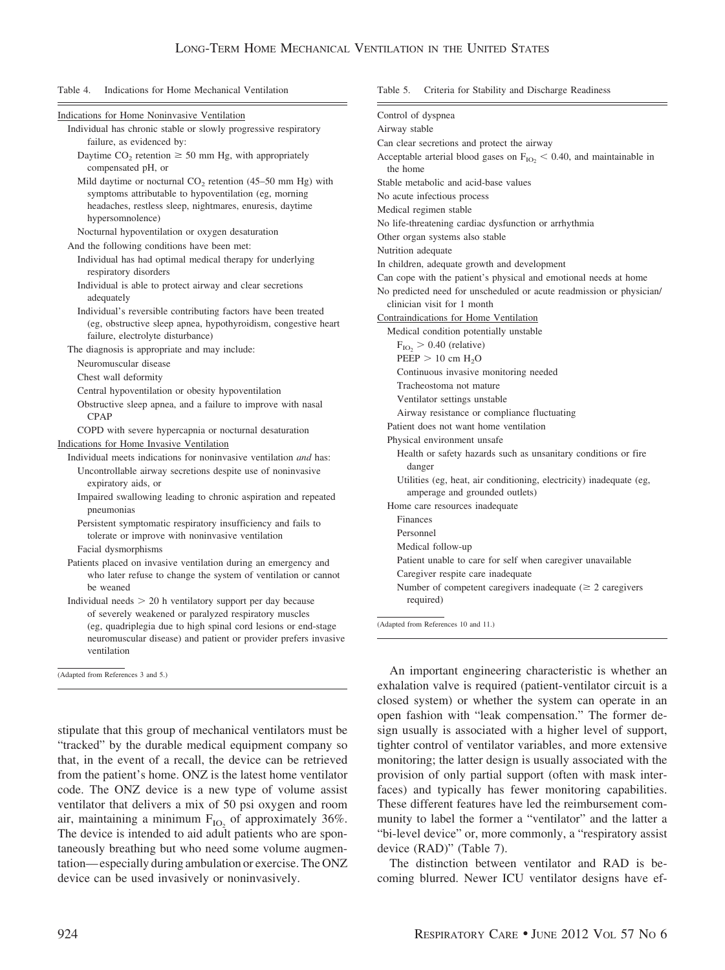Table 4. Indications for Home Mechanical Ventilation

| Indications for Home Noninvasive Ventilation                                                                                      |
|-----------------------------------------------------------------------------------------------------------------------------------|
| Individual has chronic stable or slowly progressive respiratory                                                                   |
| failure, as evidenced by:                                                                                                         |
| Daytime $CO_2$ retention $\geq$ 50 mm Hg, with appropriately                                                                      |
| compensated pH, or                                                                                                                |
| Mild daytime or nocturnal $CO_2$ retention (45–50 mm Hg) with                                                                     |
| symptoms attributable to hypoventilation (eg, morning                                                                             |
| headaches, restless sleep, nightmares, enuresis, daytime                                                                          |
| hypersomnolence)                                                                                                                  |
| Nocturnal hypoventilation or oxygen desaturation                                                                                  |
| And the following conditions have been met:                                                                                       |
| Individual has had optimal medical therapy for underlying<br>respiratory disorders                                                |
| Individual is able to protect airway and clear secretions<br>adequately                                                           |
| Individual's reversible contributing factors have been treated                                                                    |
| (eg, obstructive sleep apnea, hypothyroidism, congestive heart                                                                    |
| failure, electrolyte disturbance)                                                                                                 |
| The diagnosis is appropriate and may include:                                                                                     |
| Neuromuscular disease                                                                                                             |
| Chest wall deformity                                                                                                              |
| Central hypoventilation or obesity hypoventilation                                                                                |
| Obstructive sleep apnea, and a failure to improve with nasal<br><b>CPAP</b>                                                       |
| COPD with severe hypercapnia or nocturnal desaturation                                                                            |
| Indications for Home Invasive Ventilation                                                                                         |
| Individual meets indications for noninvasive ventilation <i>and</i> has:                                                          |
| Uncontrollable airway secretions despite use of noninvasive                                                                       |
| expiratory aids, or                                                                                                               |
| Impaired swallowing leading to chronic aspiration and repeated<br>pneumonias                                                      |
| Persistent symptomatic respiratory insufficiency and fails to                                                                     |
| tolerate or improve with noninvasive ventilation                                                                                  |
| Facial dysmorphisms                                                                                                               |
| Patients placed on invasive ventilation during an emergency and<br>who later refuse to change the system of ventilation or cannot |
| be weaned                                                                                                                         |
| Individual needs $> 20$ h ventilatory support per day because                                                                     |
| of severely weakened or paralyzed respiratory muscles<br>(eg, quadriplegia due to high spinal cord lesions or end-stage           |
| neuromuscular disease) and patient or provider prefers invasive                                                                   |

neuromuscular disease) and patient or provider prefers invasive ventilation

(Adapted from References 3 and 5.)

stipulate that this group of mechanical ventilators must be "tracked" by the durable medical equipment company so that, in the event of a recall, the device can be retrieved from the patient's home. ONZ is the latest home ventilator code. The ONZ device is a new type of volume assist ventilator that delivers a mix of 50 psi oxygen and room air, maintaining a minimum  $F_{IO}$  of approximately 36%. The device is intended to aid adult patients who are spontaneously breathing but who need some volume augmentation— especially during ambulation or exercise. The ONZ device can be used invasively or noninvasively.

Table 5. Criteria for Stability and Discharge Readiness

| Control of dyspnea                                                                                    |
|-------------------------------------------------------------------------------------------------------|
| Airway stable                                                                                         |
| Can clear secretions and protect the airway                                                           |
| Acceptable arterial blood gases on $F_{IO_2}$ < 0.40, and maintainable in                             |
| the home                                                                                              |
| Stable metabolic and acid-base values                                                                 |
| No acute infectious process                                                                           |
| Medical regimen stable                                                                                |
| No life-threatening cardiac dysfunction or arrhythmia                                                 |
| Other organ systems also stable                                                                       |
| Nutrition adequate                                                                                    |
| In children, adequate growth and development                                                          |
| Can cope with the patient's physical and emotional needs at home                                      |
| No predicted need for unscheduled or acute readmission or physician/<br>clinician visit for 1 month   |
| Contraindications for Home Ventilation                                                                |
| Medical condition potentially unstable                                                                |
| $F_{IO}$ > 0.40 (relative)                                                                            |
| $PEEP > 10$ cm $H2O$                                                                                  |
| Continuous invasive monitoring needed                                                                 |
| Tracheostoma not mature                                                                               |
| Ventilator settings unstable                                                                          |
| Airway resistance or compliance fluctuating                                                           |
| Patient does not want home ventilation                                                                |
| Physical environment unsafe                                                                           |
| Health or safety hazards such as unsanitary conditions or fire                                        |
| danger                                                                                                |
| Utilities (eg, heat, air conditioning, electricity) inadequate (eg,<br>amperage and grounded outlets) |
| Home care resources inadequate                                                                        |
| Finances                                                                                              |
| Personnel                                                                                             |
| Medical follow-up                                                                                     |
| Patient unable to care for self when caregiver unavailable                                            |
| Caregiver respite care inadequate                                                                     |
| Number of competent caregivers inadequate ( $\geq 2$ caregivers<br>required)                          |
| (Adapted from References 10 and 11.)                                                                  |

An important engineering characteristic is whether an exhalation valve is required (patient-ventilator circuit is a closed system) or whether the system can operate in an open fashion with "leak compensation." The former design usually is associated with a higher level of support, tighter control of ventilator variables, and more extensive monitoring; the latter design is usually associated with the provision of only partial support (often with mask interfaces) and typically has fewer monitoring capabilities. These different features have led the reimbursement community to label the former a "ventilator" and the latter a "bi-level device" or, more commonly, a "respiratory assist device (RAD)" (Table 7).

The distinction between ventilator and RAD is becoming blurred. Newer ICU ventilator designs have ef-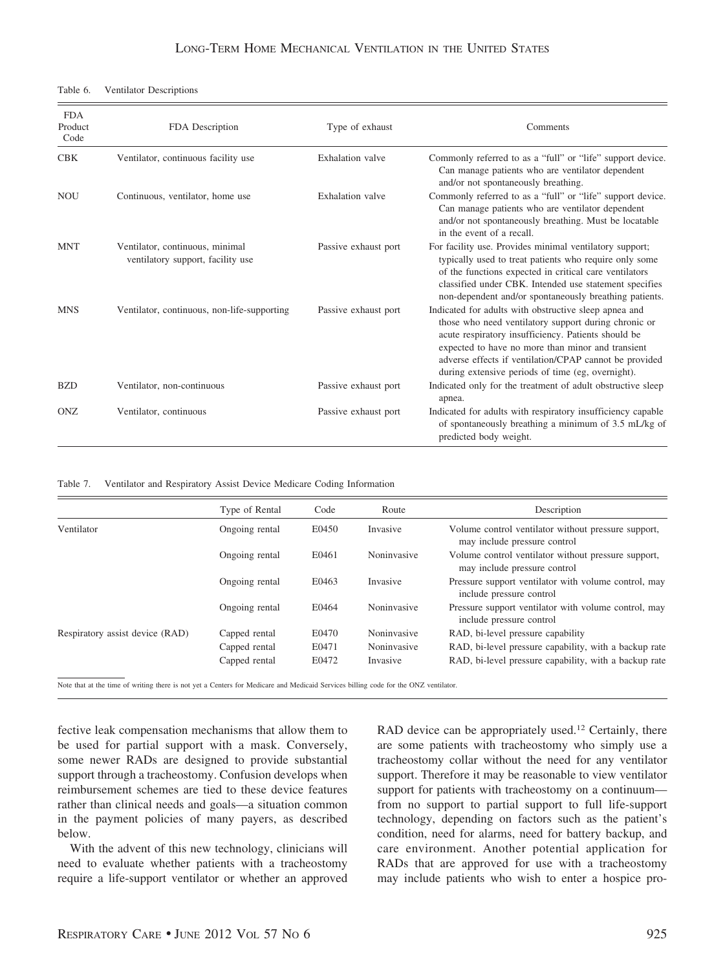| <b>Ventilator Descriptions</b><br>Table 6. |
|--------------------------------------------|
|--------------------------------------------|

| <b>FDA</b><br>Product<br>Code | FDA Description                                                      | Type of exhaust      | Comments                                                                                                                                                                                                                                                                                                                                 |  |  |  |
|-------------------------------|----------------------------------------------------------------------|----------------------|------------------------------------------------------------------------------------------------------------------------------------------------------------------------------------------------------------------------------------------------------------------------------------------------------------------------------------------|--|--|--|
| <b>CBK</b>                    | Ventilator, continuous facility use                                  | Exhalation valve     | Commonly referred to as a "full" or "life" support device.<br>Can manage patients who are ventilator dependent<br>and/or not spontaneously breathing.                                                                                                                                                                                    |  |  |  |
| <b>NOU</b>                    | Continuous, ventilator, home use                                     | Exhalation valve     | Commonly referred to as a "full" or "life" support device.<br>Can manage patients who are ventilator dependent<br>and/or not spontaneously breathing. Must be locatable<br>in the event of a recall.                                                                                                                                     |  |  |  |
| <b>MNT</b>                    | Ventilator, continuous, minimal<br>ventilatory support, facility use | Passive exhaust port | For facility use. Provides minimal ventilatory support;<br>typically used to treat patients who require only some<br>of the functions expected in critical care ventilators<br>classified under CBK. Intended use statement specifies<br>non-dependent and/or spontaneously breathing patients.                                          |  |  |  |
| <b>MNS</b>                    | Ventilator, continuous, non-life-supporting                          | Passive exhaust port | Indicated for adults with obstructive sleep apnea and<br>those who need ventilatory support during chronic or<br>acute respiratory insufficiency. Patients should be<br>expected to have no more than minor and transient<br>adverse effects if ventilation/CPAP cannot be provided<br>during extensive periods of time (eg, overnight). |  |  |  |
| <b>BZD</b>                    | Ventilator, non-continuous                                           | Passive exhaust port | Indicated only for the treatment of adult obstructive sleep<br>apnea.                                                                                                                                                                                                                                                                    |  |  |  |
| <b>ONZ</b>                    | Ventilator, continuous                                               | Passive exhaust port | Indicated for adults with respiratory insufficiency capable<br>of spontaneously breathing a minimum of 3.5 mL/kg of<br>predicted body weight.                                                                                                                                                                                            |  |  |  |

Table 7. Ventilator and Respiratory Assist Device Medicare Coding Information

|                                 | Type of Rental | Code  | Route       | Description                                                                         |
|---------------------------------|----------------|-------|-------------|-------------------------------------------------------------------------------------|
| Ventilator                      | Ongoing rental | E0450 | Invasive    | Volume control ventilator without pressure support,<br>may include pressure control |
|                                 | Ongoing rental | E0461 | Noninvasive | Volume control ventilator without pressure support,<br>may include pressure control |
|                                 | Ongoing rental | E0463 | Invasive    | Pressure support ventilator with volume control, may<br>include pressure control    |
|                                 | Ongoing rental | E0464 | Noninvasive | Pressure support ventilator with volume control, may<br>include pressure control    |
| Respiratory assist device (RAD) | Capped rental  | E0470 | Noninvasive | RAD, bi-level pressure capability                                                   |
|                                 | Capped rental  | E0471 | Noninvasive | RAD, bi-level pressure capability, with a backup rate                               |
|                                 | Capped rental  | E0472 | Invasive    | RAD, bi-level pressure capability, with a backup rate                               |

Note that at the time of writing there is not yet a Centers for Medicare and Medicaid Services billing code for the ONZ ventilator.

fective leak compensation mechanisms that allow them to be used for partial support with a mask. Conversely, some newer RADs are designed to provide substantial support through a tracheostomy. Confusion develops when reimbursement schemes are tied to these device features rather than clinical needs and goals—a situation common in the payment policies of many payers, as described below.

With the advent of this new technology, clinicians will need to evaluate whether patients with a tracheostomy require a life-support ventilator or whether an approved RAD device can be appropriately used.<sup>12</sup> Certainly, there are some patients with tracheostomy who simply use a tracheostomy collar without the need for any ventilator support. Therefore it may be reasonable to view ventilator support for patients with tracheostomy on a continuum from no support to partial support to full life-support technology, depending on factors such as the patient's condition, need for alarms, need for battery backup, and care environment. Another potential application for RADs that are approved for use with a tracheostomy may include patients who wish to enter a hospice pro-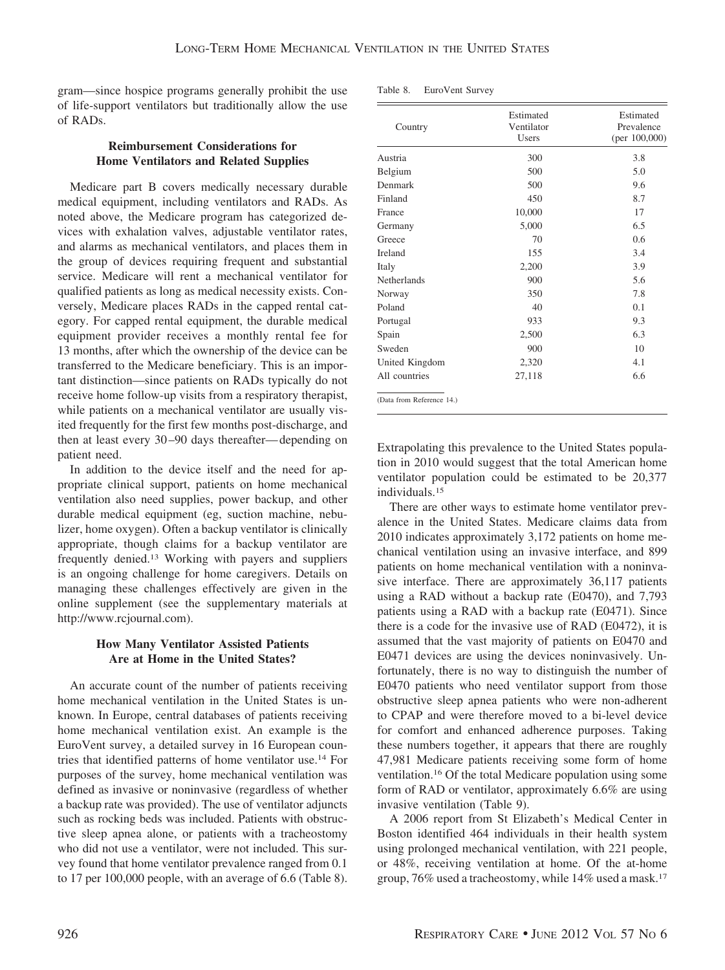Table 8. EuroVent Survey

gram—since hospice programs generally prohibit the use of life-support ventilators but traditionally allow the use of RADs.

#### **Reimbursement Considerations for Home Ventilators and Related Supplies**

Medicare part B covers medically necessary durable medical equipment, including ventilators and RADs. As noted above, the Medicare program has categorized devices with exhalation valves, adjustable ventilator rates, and alarms as mechanical ventilators, and places them in the group of devices requiring frequent and substantial service. Medicare will rent a mechanical ventilator for qualified patients as long as medical necessity exists. Conversely, Medicare places RADs in the capped rental category. For capped rental equipment, the durable medical equipment provider receives a monthly rental fee for 13 months, after which the ownership of the device can be transferred to the Medicare beneficiary. This is an important distinction—since patients on RADs typically do not receive home follow-up visits from a respiratory therapist, while patients on a mechanical ventilator are usually visited frequently for the first few months post-discharge, and then at least every 30 –90 days thereafter— depending on patient need.

In addition to the device itself and the need for appropriate clinical support, patients on home mechanical ventilation also need supplies, power backup, and other durable medical equipment (eg, suction machine, nebulizer, home oxygen). Often a backup ventilator is clinically appropriate, though claims for a backup ventilator are frequently denied.13 Working with payers and suppliers is an ongoing challenge for home caregivers. Details on managing these challenges effectively are given in the online supplement (see the supplementary materials at http://www.rcjournal.com).

#### **How Many Ventilator Assisted Patients Are at Home in the United States?**

An accurate count of the number of patients receiving home mechanical ventilation in the United States is unknown. In Europe, central databases of patients receiving home mechanical ventilation exist. An example is the EuroVent survey, a detailed survey in 16 European countries that identified patterns of home ventilator use.14 For purposes of the survey, home mechanical ventilation was defined as invasive or noninvasive (regardless of whether a backup rate was provided). The use of ventilator adjuncts such as rocking beds was included. Patients with obstructive sleep apnea alone, or patients with a tracheostomy who did not use a ventilator, were not included. This survey found that home ventilator prevalence ranged from 0.1 to 17 per 100,000 people, with an average of 6.6 (Table 8).

| Country                   | Estimated<br>Ventilator<br>Users | Estimated<br>Prevalence<br>(per $100,000$ ) |  |  |
|---------------------------|----------------------------------|---------------------------------------------|--|--|
| Austria                   | 300                              | 3.8                                         |  |  |
| Belgium                   | 500                              | 5.0                                         |  |  |
| Denmark                   | 500                              | 9.6                                         |  |  |
| Finland                   | 450                              | 8.7                                         |  |  |
| France                    | 10,000                           | 17                                          |  |  |
| Germany                   | 5,000                            | 6.5                                         |  |  |
| Greece                    | 70                               | 0.6                                         |  |  |
| Ireland                   | 155                              | 3.4                                         |  |  |
| Italy                     | 2,200                            | 3.9                                         |  |  |
| Netherlands               | 900                              | 5.6                                         |  |  |
| Norway                    | 350                              | 7.8                                         |  |  |
| Poland                    | 40                               | 0.1                                         |  |  |
| Portugal                  | 933                              | 9.3                                         |  |  |
| Spain                     | 2,500                            | 6.3                                         |  |  |
| Sweden                    | 900                              | 10                                          |  |  |
| United Kingdom            | 2,320                            | 4.1                                         |  |  |
| All countries             | 27,118                           | 6.6                                         |  |  |
| (Data from Reference 14.) |                                  |                                             |  |  |

Extrapolating this prevalence to the United States population in 2010 would suggest that the total American home ventilator population could be estimated to be 20,377 individuals.15

There are other ways to estimate home ventilator prevalence in the United States. Medicare claims data from 2010 indicates approximately 3,172 patients on home mechanical ventilation using an invasive interface, and 899 patients on home mechanical ventilation with a noninvasive interface. There are approximately 36,117 patients using a RAD without a backup rate (E0470), and 7,793 patients using a RAD with a backup rate (E0471). Since there is a code for the invasive use of RAD (E0472), it is assumed that the vast majority of patients on E0470 and E0471 devices are using the devices noninvasively. Unfortunately, there is no way to distinguish the number of E0470 patients who need ventilator support from those obstructive sleep apnea patients who were non-adherent to CPAP and were therefore moved to a bi-level device for comfort and enhanced adherence purposes. Taking these numbers together, it appears that there are roughly 47,981 Medicare patients receiving some form of home ventilation.16 Of the total Medicare population using some form of RAD or ventilator, approximately 6.6% are using invasive ventilation (Table 9).

A 2006 report from St Elizabeth's Medical Center in Boston identified 464 individuals in their health system using prolonged mechanical ventilation, with 221 people, or 48%, receiving ventilation at home. Of the at-home group, 76% used a tracheostomy, while 14% used a mask.17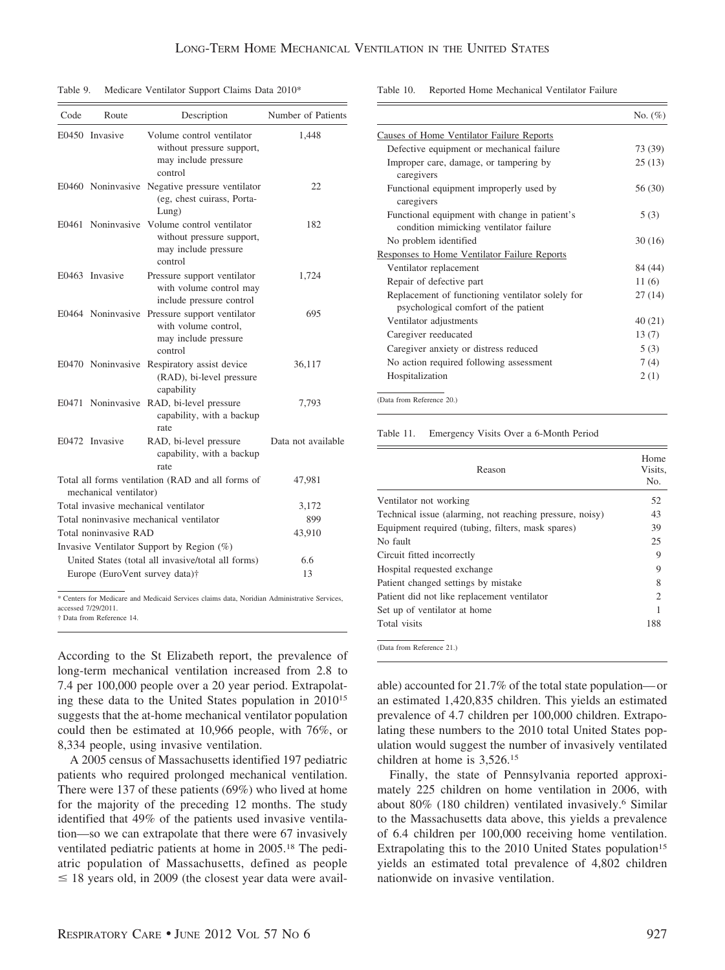| Table 9. | Medicare Ventilator Support Claims Data 2010* |  |  |  |
|----------|-----------------------------------------------|--|--|--|
|          |                                               |  |  |  |

| Code                                                      | Route                          | Description                                                                                                 | Number of Patients |
|-----------------------------------------------------------|--------------------------------|-------------------------------------------------------------------------------------------------------------|--------------------|
|                                                           | E0450 Invasive                 | Volume control ventilator<br>without pressure support,<br>may include pressure<br>control                   | 1,448              |
|                                                           |                                | E0460 Noninvasive Negative pressure ventilator<br>(eg, chest cuirass, Porta-<br>Lung)                       | 22                 |
|                                                           |                                | E0461 Noninvasive Volume control ventilator<br>without pressure support,<br>may include pressure<br>control | 182                |
|                                                           | E0463 Invasive                 | Pressure support ventilator<br>with volume control may<br>include pressure control                          | 1,724              |
|                                                           |                                | E0464 Noninvasive Pressure support ventilator<br>with volume control,<br>may include pressure<br>control    | 695                |
|                                                           |                                | E0470 Noninvasive Respiratory assist device<br>(RAD), bi-level pressure<br>capability                       | 36,117             |
|                                                           |                                | E0471 Noninvasive RAD, bi-level pressure<br>capability, with a backup<br>rate                               | 7,793              |
|                                                           | E0472 Invasive                 | RAD, bi-level pressure<br>capability, with a backup<br>rate                                                 | Data not available |
|                                                           | mechanical ventilator)         | Total all forms ventilation (RAD and all forms of                                                           | 47,981             |
| Total invasive mechanical ventilator                      |                                |                                                                                                             | 3,172              |
| Total noninvasive mechanical ventilator                   |                                |                                                                                                             | 899                |
| Total noninvasive RAD                                     |                                |                                                                                                             | 43,910             |
|                                                           |                                | Invasive Ventilator Support by Region $(\%)$                                                                |                    |
| United States (total all invasive/total all forms)<br>6.6 |                                |                                                                                                             |                    |
|                                                           | Europe (EuroVent survey data)† |                                                                                                             | 13                 |
|                                                           |                                | * Centers for Medicare and Medicaid Services claims data Noridian Administrative Services                   |                    |

\* Centers for Medicare and Medicaid Services claims data, Noridian Administrative Services, accessed 7/29/2011.

† Data from Reference 14.

According to the St Elizabeth report, the prevalence of long-term mechanical ventilation increased from 2.8 to 7.4 per 100,000 people over a 20 year period. Extrapolating these data to the United States population in 201015 suggests that the at-home mechanical ventilator population could then be estimated at 10,966 people, with 76%, or 8,334 people, using invasive ventilation.

A 2005 census of Massachusetts identified 197 pediatric patients who required prolonged mechanical ventilation. There were 137 of these patients (69%) who lived at home for the majority of the preceding 12 months. The study identified that 49% of the patients used invasive ventilation—so we can extrapolate that there were 67 invasively ventilated pediatric patients at home in 2005.18 The pediatric population of Massachusetts, defined as people  $\leq$  18 years old, in 2009 (the closest year data were availTable 10. Reported Home Mechanical Ventilator Failure

|                                                                                          | No. $(\%)$ |
|------------------------------------------------------------------------------------------|------------|
| Causes of Home Ventilator Failure Reports                                                |            |
| Defective equipment or mechanical failure                                                | 73 (39)    |
| Improper care, damage, or tampering by<br>caregivers                                     | 25(13)     |
| Functional equipment improperly used by<br>caregivers                                    | 56 (30)    |
| Functional equipment with change in patient's<br>condition mimicking ventilator failure  | 5(3)       |
| No problem identified                                                                    | 30(16)     |
| Responses to Home Ventilator Failure Reports                                             |            |
| Ventilator replacement                                                                   | 84 (44)    |
| Repair of defective part                                                                 | 11(6)      |
| Replacement of functioning ventilator solely for<br>psychological comfort of the patient | 27(14)     |
| Ventilator adjustments                                                                   | 40(21)     |
| Caregiver reeducated                                                                     | 13(7)      |
| Caregiver anxiety or distress reduced                                                    | 5(3)       |
| No action required following assessment                                                  | 7(4)       |
| Hospitalization                                                                          | 2(1)       |
| (Data from Reference 20.)                                                                |            |

Table 11. Emergency Visits Over a 6-Month Period

| Reason                                                   |                |
|----------------------------------------------------------|----------------|
| Ventilator not working                                   | 52             |
| Technical issue (alarming, not reaching pressure, noisy) | 43             |
| Equipment required (tubing, filters, mask spares)        | 39             |
| No fault                                                 | 25             |
| Circuit fitted incorrectly                               | Q              |
| Hospital requested exchange                              | 9              |
| Patient changed settings by mistake                      | 8              |
| Patient did not like replacement ventilator              | $\mathfrak{D}$ |
| Set up of ventilator at home                             |                |
| Total visits                                             | 188            |
| (Data from Reference 21.)                                |                |

able) accounted for 21.7% of the total state population— or an estimated 1,420,835 children. This yields an estimated prevalence of 4.7 children per 100,000 children. Extrapolating these numbers to the 2010 total United States population would suggest the number of invasively ventilated children at home is 3,526.15

Finally, the state of Pennsylvania reported approximately 225 children on home ventilation in 2006, with about 80% (180 children) ventilated invasively.6 Similar to the Massachusetts data above, this yields a prevalence of 6.4 children per 100,000 receiving home ventilation. Extrapolating this to the 2010 United States population<sup>15</sup> yields an estimated total prevalence of 4,802 children nationwide on invasive ventilation.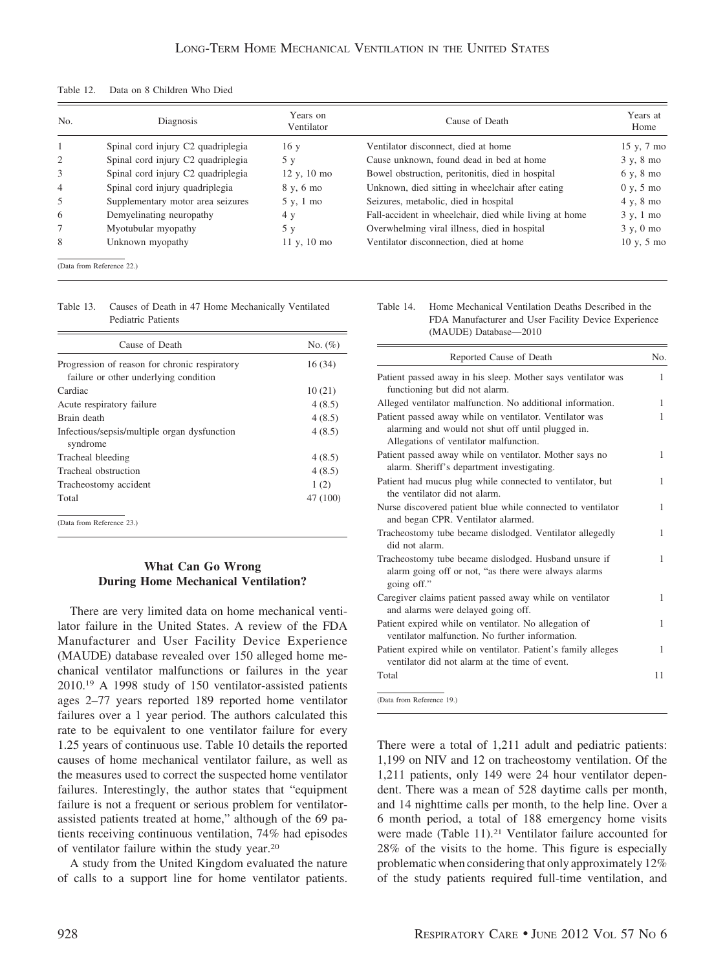| Table 12. |  |  | Data on 8 Children Who Died |  |  |
|-----------|--|--|-----------------------------|--|--|
|-----------|--|--|-----------------------------|--|--|

| No.            | Diagnosis                                      | Years on<br>Ventilator           | Cause of Death                                         | Years at<br>Home |
|----------------|------------------------------------------------|----------------------------------|--------------------------------------------------------|------------------|
| 1              | Spinal cord injury C <sub>2</sub> quadriplegia | 16y                              | Ventilator disconnect, died at home                    | 15 y, 7 m        |
| 2              | Spinal cord injury C <sub>2</sub> quadriplegia | 5 y                              | Cause unknown, found dead in bed at home               | 3 y, 8 m         |
| 3              | Spinal cord injury C2 quadriplegia             | $12 \text{ y}$ , $10 \text{ mo}$ | Bowel obstruction, peritonitis, died in hospital       | 6y, 8m           |
| $\overline{4}$ | Spinal cord injury quadriplegia                | 8 y, 6 mo                        | Unknown, died sitting in wheelchair after eating       | 0 y, 5 m         |
| 5              | Supplementary motor area seizures              | $5 \mathrm{v}$ , $1 \mathrm{mo}$ | Seizures, metabolic, died in hospital                  | 4 y, 8 m         |
| 6              | Demyelinating neuropathy                       | 4 y                              | Fall-accident in wheelchair, died while living at home | $3 y, 1$ mo      |
| 7              | Myotubular myopathy                            | 5 y                              | Overwhelming viral illness, died in hospital           | $3 y, 0$ mo      |
| 8              | Unknown myopathy                               | $11 \text{ y}$ , $10 \text{ mo}$ | Ventilator disconnection, died at home                 | 10 y, 5 m        |

(Data from Reference 22.)

Table 13. Causes of Death in 47 Home Mechanically Ventilated Pediatric Patients

| Cause of Death                                           | No. $(\%)$ |
|----------------------------------------------------------|------------|
| Progression of reason for chronic respiratory            | 16(34)     |
| failure or other underlying condition                    |            |
| Cardiac                                                  | 10(21)     |
| Acute respiratory failure                                | 4(8.5)     |
| Brain death                                              | 4(8.5)     |
| Infectious/sepsis/multiple organ dysfunction<br>syndrome | 4(8.5)     |
| Tracheal bleeding                                        | 4(8.5)     |
| Tracheal obstruction                                     | 4(8.5)     |
| Tracheostomy accident                                    | 1(2)       |
| Total                                                    | 47 (100)   |
| (Data from Reference 23.)                                |            |

## **What Can Go Wrong During Home Mechanical Ventilation?**

There are very limited data on home mechanical ventilator failure in the United States. A review of the FDA Manufacturer and User Facility Device Experience (MAUDE) database revealed over 150 alleged home mechanical ventilator malfunctions or failures in the year 2010.19 A 1998 study of 150 ventilator-assisted patients ages 2–77 years reported 189 reported home ventilator failures over a 1 year period. The authors calculated this rate to be equivalent to one ventilator failure for every 1.25 years of continuous use. Table 10 details the reported causes of home mechanical ventilator failure, as well as the measures used to correct the suspected home ventilator failures. Interestingly, the author states that "equipment failure is not a frequent or serious problem for ventilatorassisted patients treated at home," although of the 69 patients receiving continuous ventilation, 74% had episodes of ventilator failure within the study year.20

A study from the United Kingdom evaluated the nature of calls to a support line for home ventilator patients.

| Table 14. | Home Mechanical Ventilation Deaths Described in the  |
|-----------|------------------------------------------------------|
|           | FDA Manufacturer and User Facility Device Experience |
|           | (MAUDE) Database-2010                                |

| Reported Cause of Death                                                                                                                                | No.          |
|--------------------------------------------------------------------------------------------------------------------------------------------------------|--------------|
| Patient passed away in his sleep. Mother says ventilator was<br>functioning but did not alarm.                                                         | 1            |
| Alleged ventilator malfunction. No additional information.                                                                                             | 1            |
| Patient passed away while on ventilator. Ventilator was<br>alarming and would not shut off until plugged in.<br>Allegations of ventilator malfunction. | 1            |
| Patient passed away while on ventilator. Mother says no<br>alarm. Sheriff's department investigating.                                                  | 1            |
| Patient had mucus plug while connected to ventilator, but<br>the ventilator did not alarm.                                                             | 1            |
| Nurse discovered patient blue while connected to ventilator<br>and began CPR. Ventilator alarmed.                                                      | 1            |
| Tracheostomy tube became dislodged. Ventilator allegedly<br>did not alarm.                                                                             | 1            |
| Tracheostomy tube became dislodged. Husband unsure if<br>alarm going off or not, "as there were always alarms<br>going off."                           | $\mathbf{1}$ |
| Caregiver claims patient passed away while on ventilator<br>and alarms were delayed going off.                                                         | 1            |
| Patient expired while on ventilator. No allegation of<br>ventilator malfunction. No further information.                                               | 1            |
| Patient expired while on ventilator. Patient's family alleges<br>ventilator did not alarm at the time of event.                                        | 1            |
| Total                                                                                                                                                  | 11           |
| $Data_{beam}$ Defenses $10l$                                                                                                                           |              |

(Data from Reference 19.)

There were a total of 1,211 adult and pediatric patients: 1,199 on NIV and 12 on tracheostomy ventilation. Of the 1,211 patients, only 149 were 24 hour ventilator dependent. There was a mean of 528 daytime calls per month, and 14 nighttime calls per month, to the help line. Over a 6 month period, a total of 188 emergency home visits were made (Table 11).<sup>21</sup> Ventilator failure accounted for 28% of the visits to the home. This figure is especially problematic when considering that only approximately 12% of the study patients required full-time ventilation, and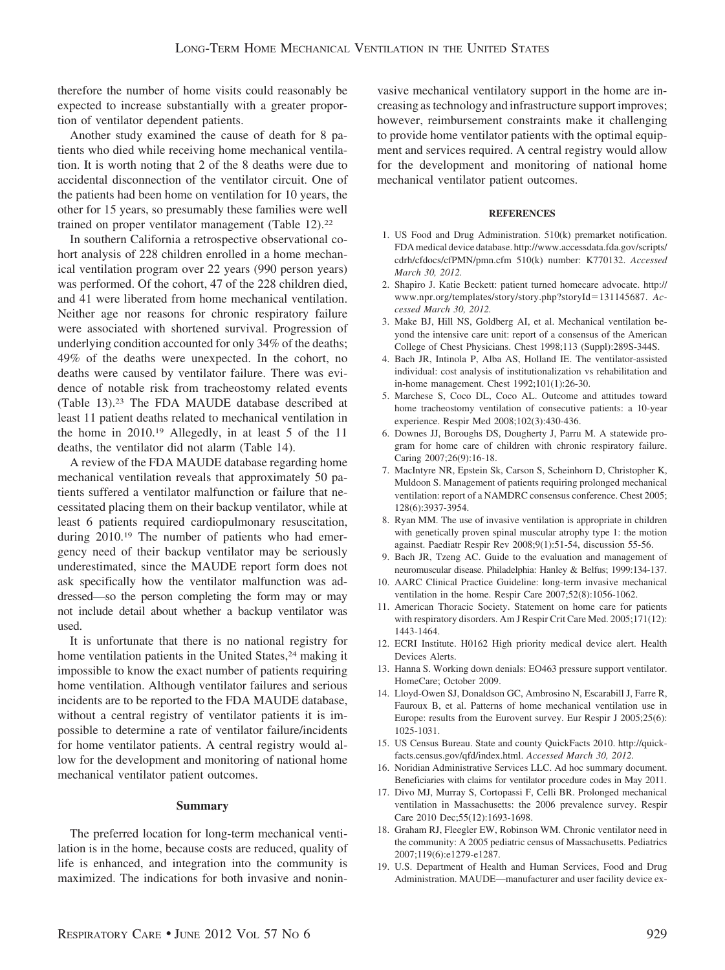therefore the number of home visits could reasonably be expected to increase substantially with a greater proportion of ventilator dependent patients.

Another study examined the cause of death for 8 patients who died while receiving home mechanical ventilation. It is worth noting that 2 of the 8 deaths were due to accidental disconnection of the ventilator circuit. One of the patients had been home on ventilation for 10 years, the other for 15 years, so presumably these families were well trained on proper ventilator management (Table 12).22

In southern California a retrospective observational cohort analysis of 228 children enrolled in a home mechanical ventilation program over 22 years (990 person years) was performed. Of the cohort, 47 of the 228 children died, and 41 were liberated from home mechanical ventilation. Neither age nor reasons for chronic respiratory failure were associated with shortened survival. Progression of underlying condition accounted for only 34% of the deaths; 49% of the deaths were unexpected. In the cohort, no deaths were caused by ventilator failure. There was evidence of notable risk from tracheostomy related events (Table 13).23 The FDA MAUDE database described at least 11 patient deaths related to mechanical ventilation in the home in 2010.19 Allegedly, in at least 5 of the 11 deaths, the ventilator did not alarm (Table 14).

A review of the FDA MAUDE database regarding home mechanical ventilation reveals that approximately 50 patients suffered a ventilator malfunction or failure that necessitated placing them on their backup ventilator, while at least 6 patients required cardiopulmonary resuscitation, during 2010.19 The number of patients who had emergency need of their backup ventilator may be seriously underestimated, since the MAUDE report form does not ask specifically how the ventilator malfunction was addressed—so the person completing the form may or may not include detail about whether a backup ventilator was used.

It is unfortunate that there is no national registry for home ventilation patients in the United States,<sup>24</sup> making it impossible to know the exact number of patients requiring home ventilation. Although ventilator failures and serious incidents are to be reported to the FDA MAUDE database, without a central registry of ventilator patients it is impossible to determine a rate of ventilator failure/incidents for home ventilator patients. A central registry would allow for the development and monitoring of national home mechanical ventilator patient outcomes.

#### **Summary**

The preferred location for long-term mechanical ventilation is in the home, because costs are reduced, quality of life is enhanced, and integration into the community is maximized. The indications for both invasive and noninvasive mechanical ventilatory support in the home are increasing as technology and infrastructure support improves; however, reimbursement constraints make it challenging to provide home ventilator patients with the optimal equipment and services required. A central registry would allow for the development and monitoring of national home mechanical ventilator patient outcomes.

#### **REFERENCES**

- 1. US Food and Drug Administration. 510(k) premarket notification. FDA medical device database. http://www.accessdata.fda.gov/scripts/ cdrh/cfdocs/cfPMN/pmn.cfm 510(k) number: K770132. *Accessed March 30, 2012.*
- 2. Shapiro J. Katie Beckett: patient turned homecare advocate. http:// www.npr.org/templates/story/story.php?storyId=131145687. *Accessed March 30, 2012.*
- 3. Make BJ, Hill NS, Goldberg AI, et al. Mechanical ventilation beyond the intensive care unit: report of a consensus of the American College of Chest Physicians. Chest 1998;113 (Suppl):289S-344S.
- 4. Bach JR, Intinola P, Alba AS, Holland IE. The ventilator-assisted individual: cost analysis of institutionalization vs rehabilitation and in-home management. Chest 1992;101(1):26-30.
- 5. Marchese S, Coco DL, Coco AL. Outcome and attitudes toward home tracheostomy ventilation of consecutive patients: a 10-year experience. Respir Med 2008;102(3):430-436.
- 6. Downes JJ, Boroughs DS, Dougherty J, Parru M. A statewide program for home care of children with chronic respiratory failure. Caring 2007;26(9):16-18.
- 7. MacIntyre NR, Epstein Sk, Carson S, Scheinhorn D, Christopher K, Muldoon S. Management of patients requiring prolonged mechanical ventilation: report of a NAMDRC consensus conference. Chest 2005; 128(6):3937-3954.
- 8. Ryan MM. The use of invasive ventilation is appropriate in children with genetically proven spinal muscular atrophy type 1: the motion against. Paediatr Respir Rev 2008;9(1):51-54, discussion 55-56.
- 9. Bach JR, Tzeng AC. Guide to the evaluation and management of neuromuscular disease. Philadelphia: Hanley & Belfus; 1999:134-137.
- 10. AARC Clinical Practice Guideline: long-term invasive mechanical ventilation in the home. Respir Care 2007;52(8):1056-1062.
- 11. American Thoracic Society. Statement on home care for patients with respiratory disorders. Am J Respir Crit Care Med. 2005;171(12): 1443-1464.
- 12. ECRI Institute. H0162 High priority medical device alert. Health Devices Alerts.
- 13. Hanna S. Working down denials: EO463 pressure support ventilator. HomeCare; October 2009.
- 14. Lloyd-Owen SJ, Donaldson GC, Ambrosino N, Escarabill J, Farre R, Fauroux B, et al. Patterns of home mechanical ventilation use in Europe: results from the Eurovent survey. Eur Respir J 2005;25(6): 1025-1031.
- 15. US Census Bureau. State and county QuickFacts 2010. http://quickfacts.census.gov/qfd/index.html. *Accessed March 30, 2012.*
- 16. Noridian Administrative Services LLC. Ad hoc summary document. Beneficiaries with claims for ventilator procedure codes in May 2011.
- 17. Divo MJ, Murray S, Cortopassi F, Celli BR. Prolonged mechanical ventilation in Massachusetts: the 2006 prevalence survey. Respir Care 2010 Dec;55(12):1693-1698.
- 18. Graham RJ, Fleegler EW, Robinson WM. Chronic ventilator need in the community: A 2005 pediatric census of Massachusetts. Pediatrics 2007;119(6):e1279-e1287.
- 19. U.S. Department of Health and Human Services, Food and Drug Administration. MAUDE—manufacturer and user facility device ex-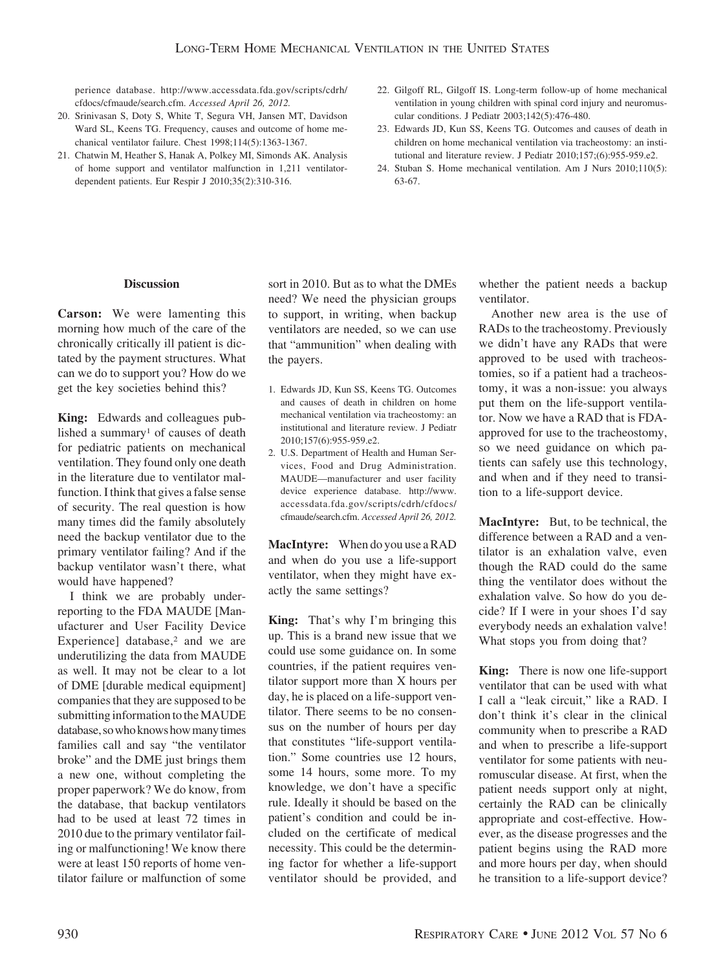perience database. http://www.accessdata.fda.gov/scripts/cdrh/ cfdocs/cfmaude/search.cfm. *Accessed April 26, 2012.*

- 20. Srinivasan S, Doty S, White T, Segura VH, Jansen MT, Davidson Ward SL, Keens TG. Frequency, causes and outcome of home mechanical ventilator failure. Chest 1998;114(5):1363-1367.
- 21. Chatwin M, Heather S, Hanak A, Polkey MI, Simonds AK. Analysis of home support and ventilator malfunction in 1,211 ventilatordependent patients. Eur Respir J 2010;35(2):310-316.
- 22. Gilgoff RL, Gilgoff IS. Long-term follow-up of home mechanical ventilation in young children with spinal cord injury and neuromuscular conditions. J Pediatr 2003;142(5):476-480.
- 23. Edwards JD, Kun SS, Keens TG. Outcomes and causes of death in children on home mechanical ventilation via tracheostomy: an institutional and literature review. J Pediatr 2010;157;(6):955-959.e2.
- 24. Stuban S. Home mechanical ventilation. Am J Nurs 2010;110(5): 63-67.

#### **Discussion**

**Carson:** We were lamenting this morning how much of the care of the chronically critically ill patient is dictated by the payment structures. What can we do to support you? How do we get the key societies behind this?

**King:** Edwards and colleagues published a summary<sup>1</sup> of causes of death for pediatric patients on mechanical ventilation. They found only one death in the literature due to ventilator malfunction. I think that gives a false sense of security. The real question is how many times did the family absolutely need the backup ventilator due to the primary ventilator failing? And if the backup ventilator wasn't there, what would have happened?

I think we are probably underreporting to the FDA MAUDE [Manufacturer and User Facility Device Experience] database,<sup>2</sup> and we are underutilizing the data from MAUDE as well. It may not be clear to a lot of DME [durable medical equipment] companies that they are supposed to be submitting information to the MAUDE database, sowho knows howmanytimes families call and say "the ventilator broke" and the DME just brings them a new one, without completing the proper paperwork? We do know, from the database, that backup ventilators had to be used at least 72 times in 2010 due to the primary ventilator failing or malfunctioning! We know there were at least 150 reports of home ventilator failure or malfunction of some

sort in 2010. But as to what the DMEs need? We need the physician groups to support, in writing, when backup ventilators are needed, so we can use that "ammunition" when dealing with the payers.

- 1. Edwards JD, Kun SS, Keens TG. Outcomes and causes of death in children on home mechanical ventilation via tracheostomy: an institutional and literature review. J Pediatr 2010;157(6):955-959.e2.
- 2. U.S. Department of Health and Human Services, Food and Drug Administration. MAUDE—manufacturer and user facility device experience database. http://www. accessdata.fda.gov/scripts/cdrh/cfdocs/ cfmaude/search.cfm. *Accessed April 26, 2012.*

**MacIntyre:** When do you use a RAD and when do you use a life-support ventilator, when they might have exactly the same settings?

**King:** That's why I'm bringing this up. This is a brand new issue that we could use some guidance on. In some countries, if the patient requires ventilator support more than X hours per day, he is placed on a life-support ventilator. There seems to be no consensus on the number of hours per day that constitutes "life-support ventilation." Some countries use 12 hours, some 14 hours, some more. To my knowledge, we don't have a specific rule. Ideally it should be based on the patient's condition and could be included on the certificate of medical necessity. This could be the determining factor for whether a life-support ventilator should be provided, and

whether the patient needs a backup ventilator.

Another new area is the use of RADs to the tracheostomy. Previously we didn't have any RADs that were approved to be used with tracheostomies, so if a patient had a tracheostomy, it was a non-issue: you always put them on the life-support ventilator. Now we have a RAD that is FDAapproved for use to the tracheostomy, so we need guidance on which patients can safely use this technology, and when and if they need to transition to a life-support device.

**MacIntyre:** But, to be technical, the difference between a RAD and a ventilator is an exhalation valve, even though the RAD could do the same thing the ventilator does without the exhalation valve. So how do you decide? If I were in your shoes I'd say everybody needs an exhalation valve! What stops you from doing that?

**King:** There is now one life-support ventilator that can be used with what I call a "leak circuit," like a RAD. I don't think it's clear in the clinical community when to prescribe a RAD and when to prescribe a life-support ventilator for some patients with neuromuscular disease. At first, when the patient needs support only at night, certainly the RAD can be clinically appropriate and cost-effective. However, as the disease progresses and the patient begins using the RAD more and more hours per day, when should he transition to a life-support device?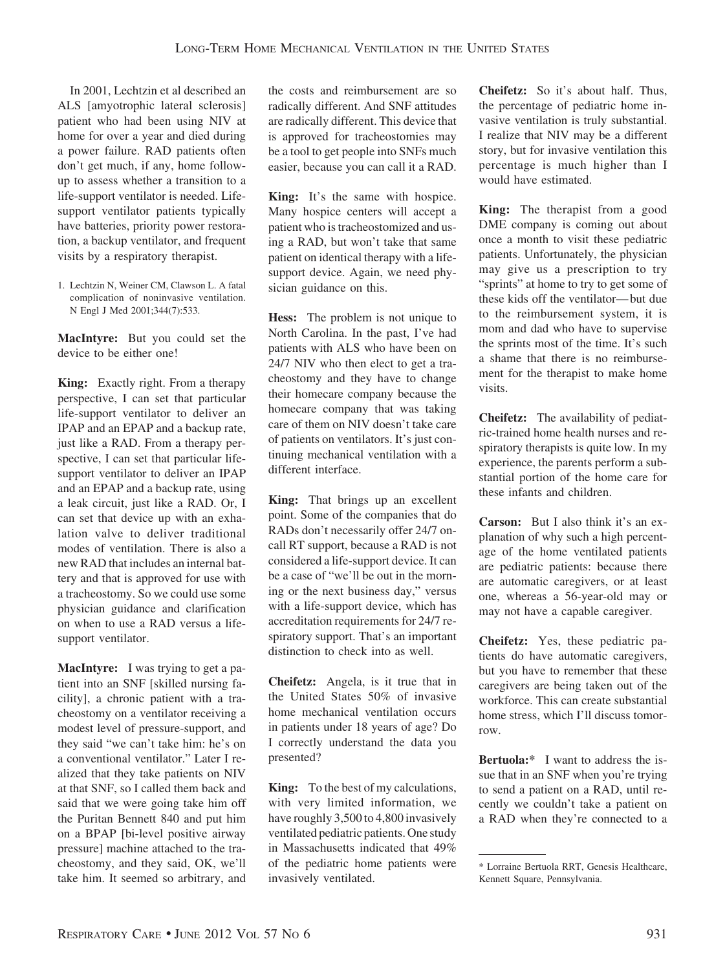In 2001, Lechtzin et al described an ALS [amyotrophic lateral sclerosis] patient who had been using NIV at home for over a year and died during a power failure. RAD patients often don't get much, if any, home followup to assess whether a transition to a life-support ventilator is needed. Lifesupport ventilator patients typically have batteries, priority power restoration, a backup ventilator, and frequent visits by a respiratory therapist.

1. Lechtzin N, Weiner CM, Clawson L. A fatal complication of noninvasive ventilation. N Engl J Med 2001;344(7):533.

**MacIntyre:** But you could set the device to be either one!

**King:** Exactly right. From a therapy perspective, I can set that particular life-support ventilator to deliver an IPAP and an EPAP and a backup rate, just like a RAD. From a therapy perspective, I can set that particular lifesupport ventilator to deliver an IPAP and an EPAP and a backup rate, using a leak circuit, just like a RAD. Or, I can set that device up with an exhalation valve to deliver traditional modes of ventilation. There is also a new RAD that includes an internal battery and that is approved for use with a tracheostomy. So we could use some physician guidance and clarification on when to use a RAD versus a lifesupport ventilator.

**MacIntyre:** I was trying to get a patient into an SNF [skilled nursing facility], a chronic patient with a tracheostomy on a ventilator receiving a modest level of pressure-support, and they said "we can't take him: he's on a conventional ventilator." Later I realized that they take patients on NIV at that SNF, so I called them back and said that we were going take him off the Puritan Bennett 840 and put him on a BPAP [bi-level positive airway pressure] machine attached to the tracheostomy, and they said, OK, we'll take him. It seemed so arbitrary, and

the costs and reimbursement are so radically different. And SNF attitudes are radically different. This device that is approved for tracheostomies may be a tool to get people into SNFs much easier, because you can call it a RAD.

**King:** It's the same with hospice. Many hospice centers will accept a patient who is tracheostomized and using a RAD, but won't take that same patient on identical therapy with a lifesupport device. Again, we need physician guidance on this.

**Hess:** The problem is not unique to North Carolina. In the past, I've had patients with ALS who have been on 24/7 NIV who then elect to get a tracheostomy and they have to change their homecare company because the homecare company that was taking care of them on NIV doesn't take care of patients on ventilators. It's just continuing mechanical ventilation with a different interface.

**King:** That brings up an excellent point. Some of the companies that do RADs don't necessarily offer 24/7 oncall RT support, because a RAD is not considered a life-support device. It can be a case of "we'll be out in the morning or the next business day," versus with a life-support device, which has accreditation requirements for 24/7 respiratory support. That's an important distinction to check into as well.

**Cheifetz:** Angela, is it true that in the United States 50% of invasive home mechanical ventilation occurs in patients under 18 years of age? Do I correctly understand the data you presented?

**King:** To the best of my calculations, with very limited information, we have roughly 3,500 to 4,800 invasively ventilated pediatric patients. One study in Massachusetts indicated that 49% of the pediatric home patients were invasively ventilated.

**Cheifetz:** So it's about half. Thus, the percentage of pediatric home invasive ventilation is truly substantial. I realize that NIV may be a different story, but for invasive ventilation this percentage is much higher than I would have estimated.

**King:** The therapist from a good DME company is coming out about once a month to visit these pediatric patients. Unfortunately, the physician may give us a prescription to try "sprints" at home to try to get some of these kids off the ventilator— but due to the reimbursement system, it is mom and dad who have to supervise the sprints most of the time. It's such a shame that there is no reimbursement for the therapist to make home visits.

**Cheifetz:** The availability of pediatric-trained home health nurses and respiratory therapists is quite low. In my experience, the parents perform a substantial portion of the home care for these infants and children.

**Carson:** But I also think it's an explanation of why such a high percentage of the home ventilated patients are pediatric patients: because there are automatic caregivers, or at least one, whereas a 56-year-old may or may not have a capable caregiver.

**Cheifetz:** Yes, these pediatric patients do have automatic caregivers, but you have to remember that these caregivers are being taken out of the workforce. This can create substantial home stress, which I'll discuss tomorrow.

**Bertuola:\*** I want to address the issue that in an SNF when you're trying to send a patient on a RAD, until recently we couldn't take a patient on a RAD when they're connected to a

<sup>\*</sup> Lorraine Bertuola RRT, Genesis Healthcare, Kennett Square, Pennsylvania.